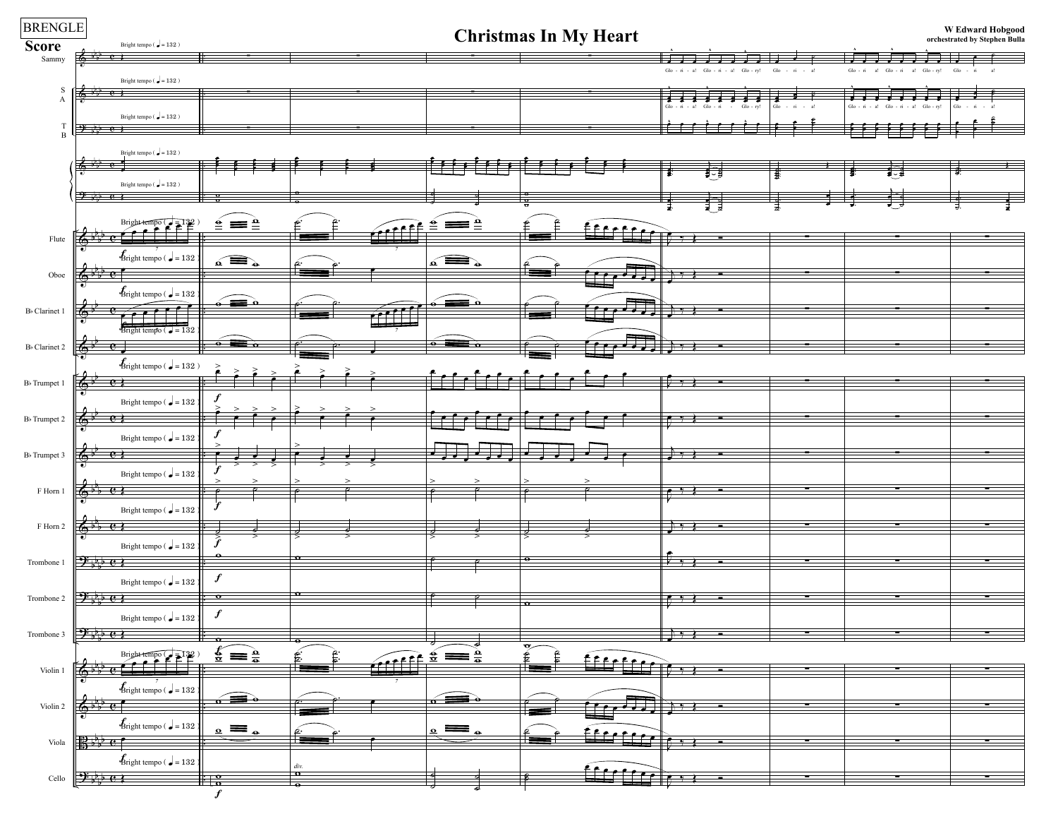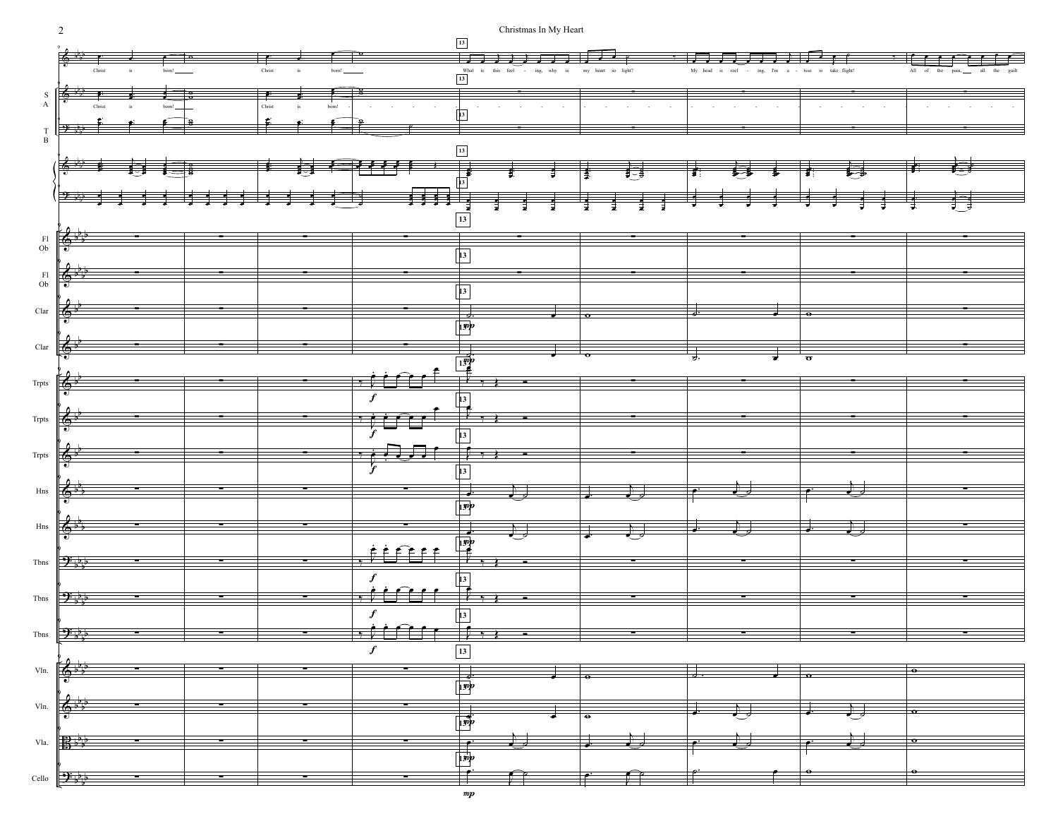

 $\mathfrak{m}p$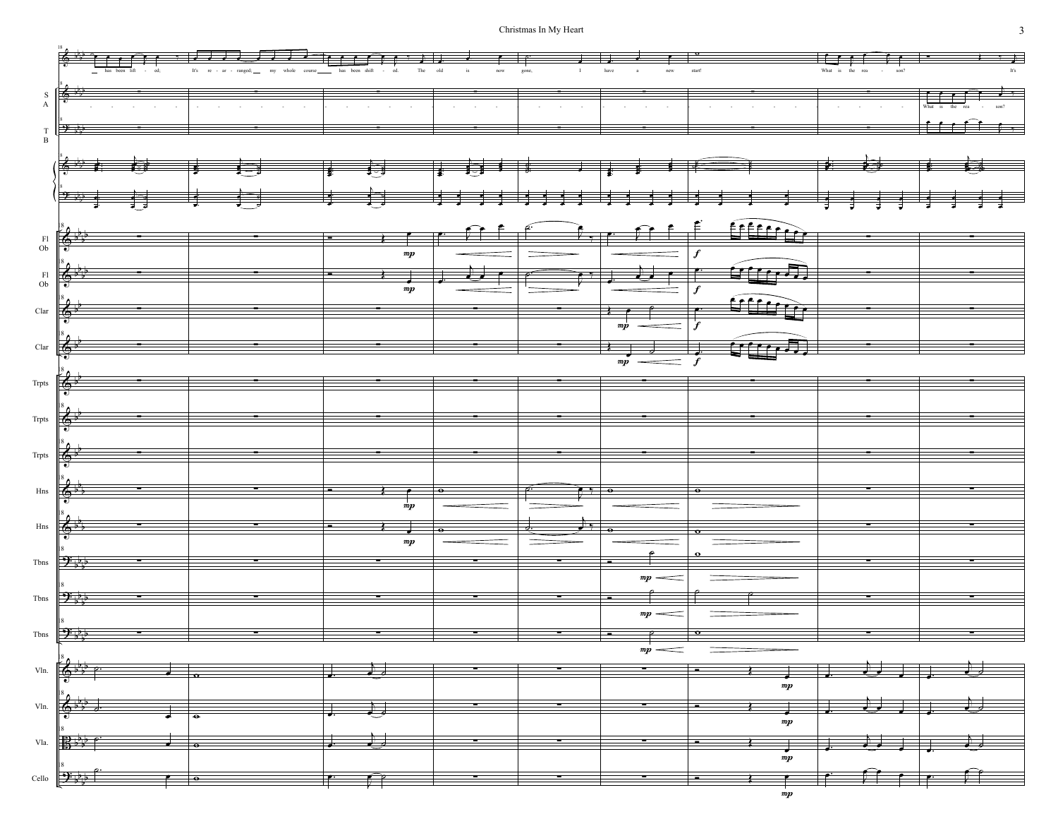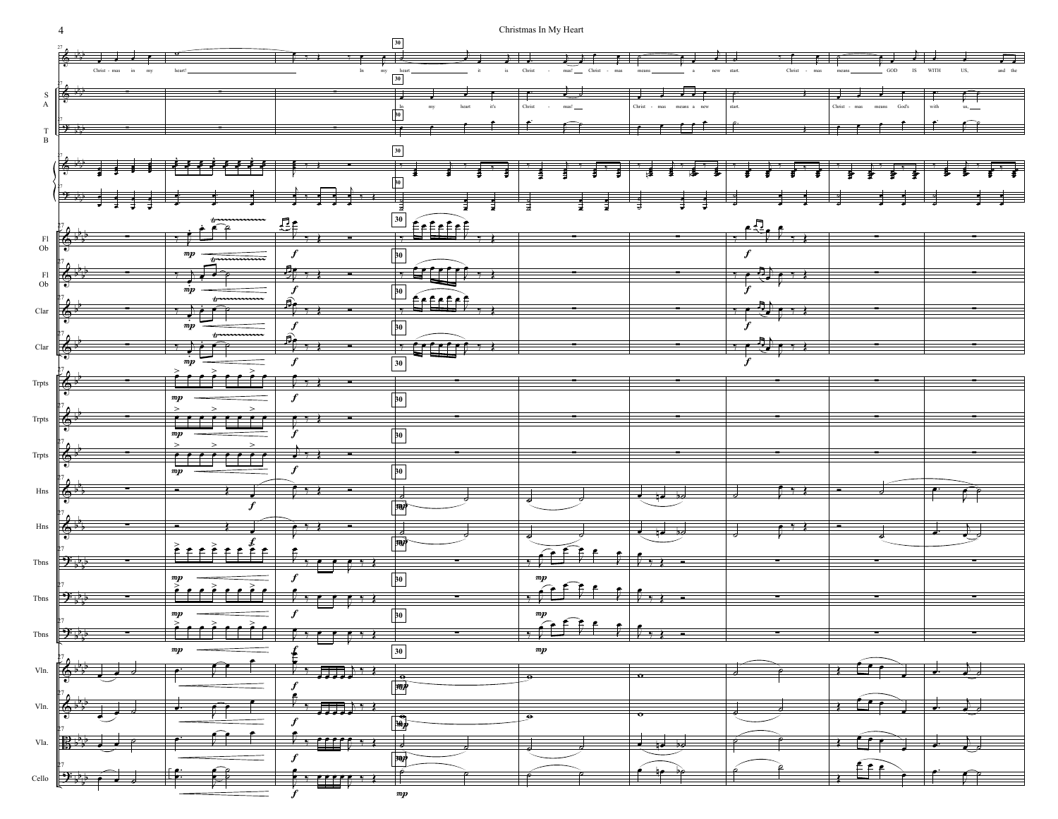$\overline{4}$ 

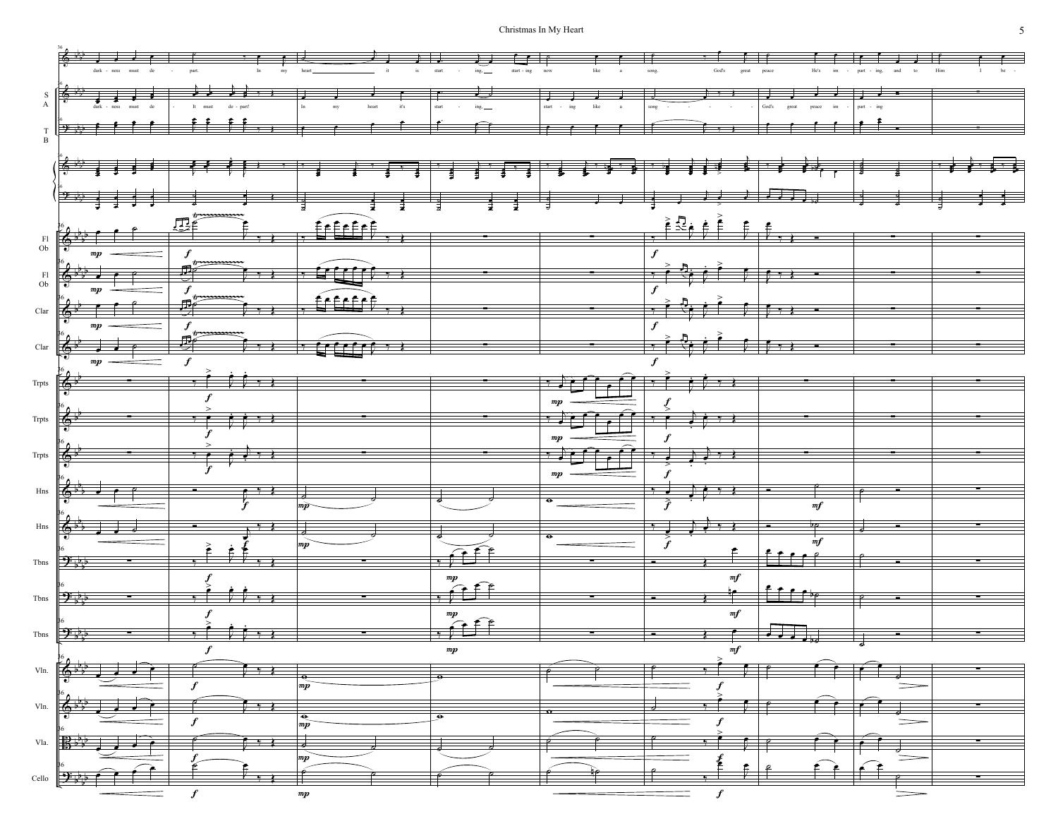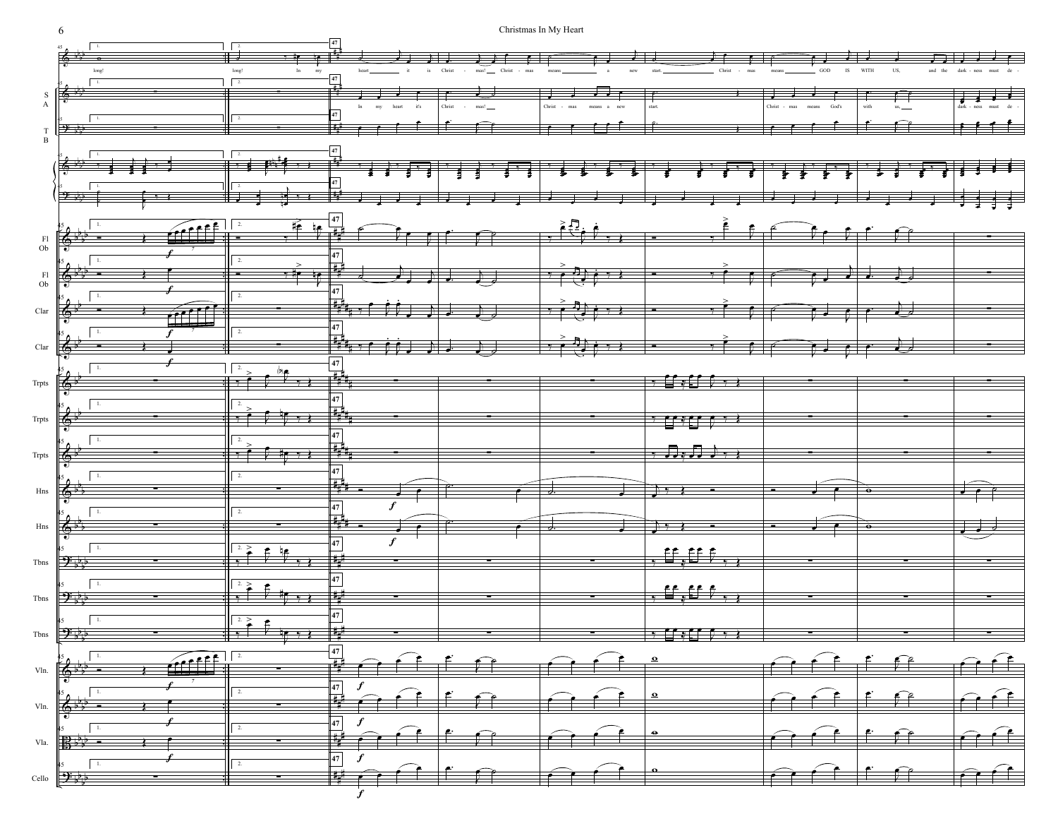

 $\sqrt{6}$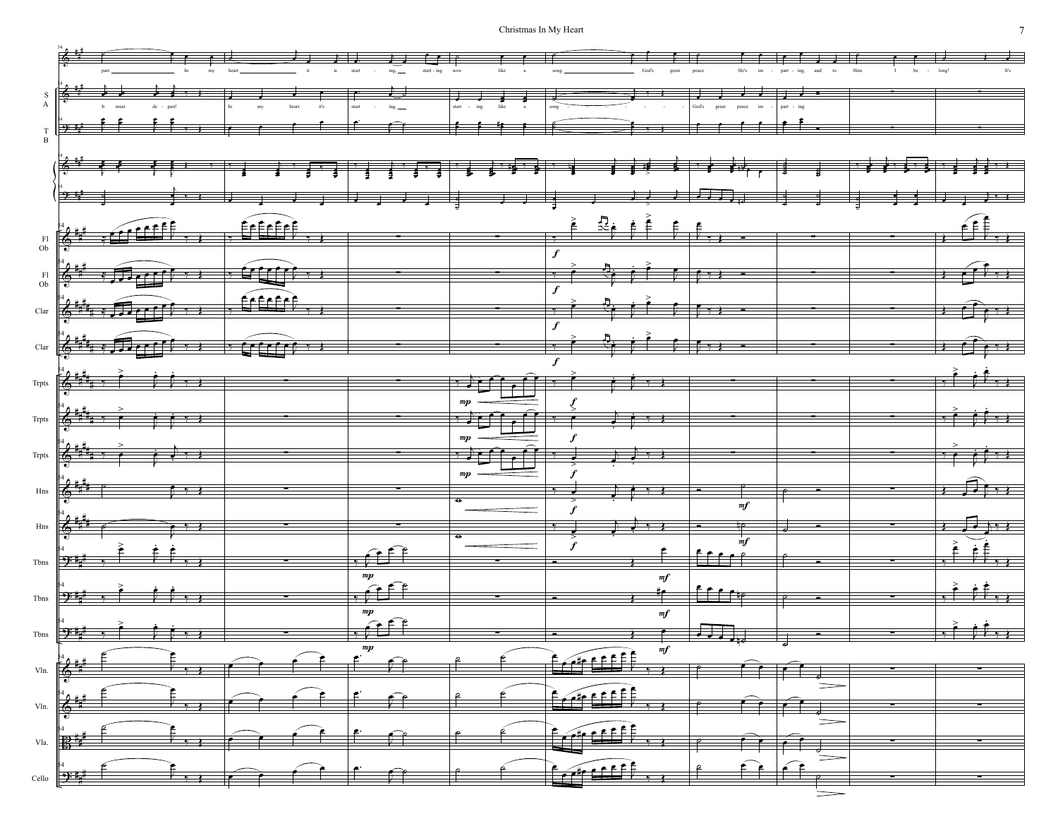

7

⋍